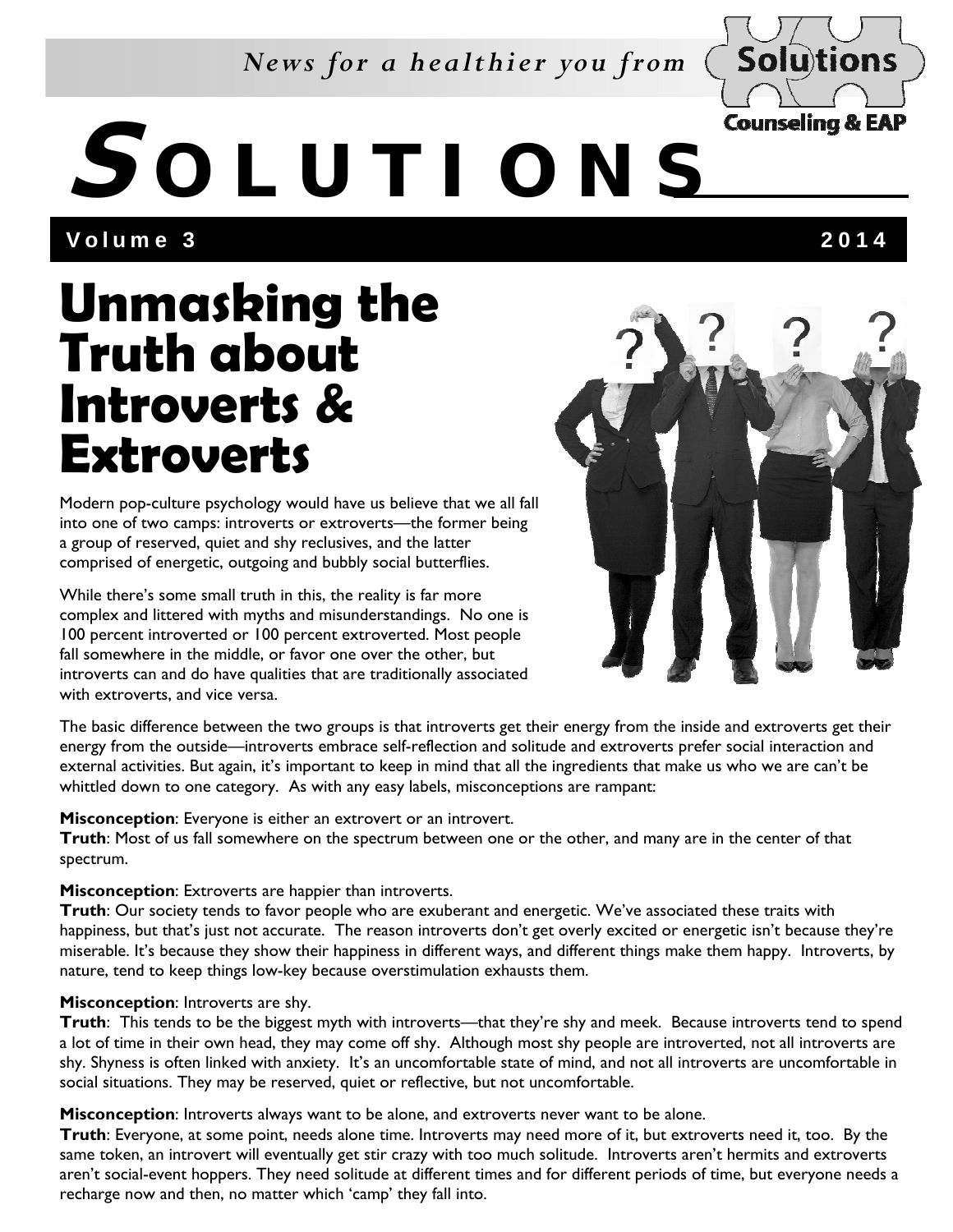### *News for a healthier you from*



# **S OLUTIONS**

Volume 3 2014

## **Unmasking the Truth about Introverts & Extroverts**

Modern pop-culture psychology would have us believe that we all fall into one of two camps: introverts or extroverts—the former being a group of reserved, quiet and shy reclusives, and the latter comprised of energetic, outgoing and bubbly social butterflies.

While there's some small truth in this, the reality is far more complex and littered with myths and misunderstandings. No one is 100 percent introverted or 100 percent extroverted. Most people fall somewhere in the middle, or favor one over the other, but introverts can and do have qualities that are traditionally associated with extroverts, and vice versa.



The basic difference between the two groups is that introverts get their energy from the inside and extroverts get their energy from the outside—introverts embrace self-reflection and solitude and extroverts prefer social interaction and external activities. But again, it's important to keep in mind that all the ingredients that make us who we are can't be whittled down to one category. As with any easy labels, misconceptions are rampant:

#### **Misconception**: Everyone is either an extrovert or an introvert.

**Truth**: Most of us fall somewhere on the spectrum between one or the other, and many are in the center of that spectrum.

#### **Misconception**: Extroverts are happier than introverts.

**Truth**: Our society tends to favor people who are exuberant and energetic. We've associated these traits with happiness, but that's just not accurate. The reason introverts don't get overly excited or energetic isn't because they're miserable. It's because they show their happiness in different ways, and different things make them happy. Introverts, by nature, tend to keep things low-key because overstimulation exhausts them.

#### **Misconception**: Introverts are shy.

**Truth**: This tends to be the biggest myth with introverts—that they're shy and meek. Because introverts tend to spend a lot of time in their own head, they may come off shy. Although most shy people are introverted, not all introverts are shy. Shyness is often linked with anxiety. It's an uncomfortable state of mind, and not all introverts are uncomfortable in social situations. They may be reserved, quiet or reflective, but not uncomfortable.

**Misconception**: Introverts always want to be alone, and extroverts never want to be alone.

**Truth**: Everyone, at some point, needs alone time. Introverts may need more of it, but extroverts need it, too. By the same token, an introvert will eventually get stir crazy with too much solitude. Introverts aren't hermits and extroverts aren't social-event hoppers. They need solitude at different times and for different periods of time, but everyone needs a recharge now and then, no matter which 'camp' they fall into.